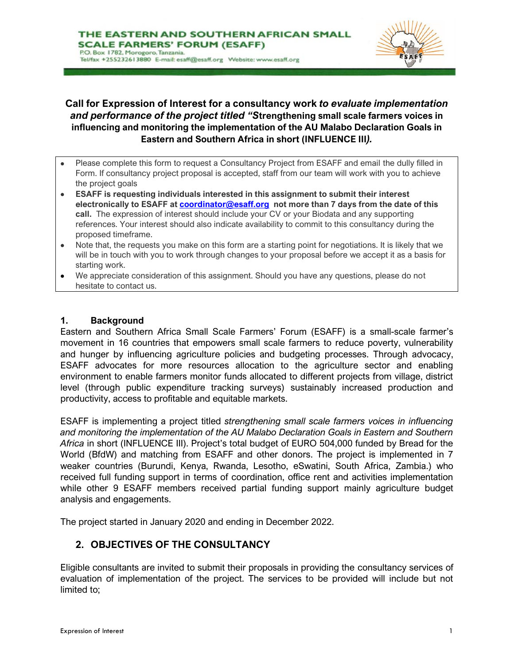

### **Call for Expression of Interest for a consultancy work** *to evaluate implementation and performance of the project titled "S***trengthening small scale farmers voices in influencing and monitoring the implementation of the AU Malabo Declaration Goals in Eastern and Southern Africa in short (INFLUENCE III***).*

- Please complete this form to request a Consultancy Project from ESAFF and email the dully filled in Form. If consultancy project proposal is accepted, staff from our team will work with you to achieve the project goals
- **ESAFF is requesting individuals interested in this assignment to submit their interest electronically to ESAFF at [coordinator@esaff.org](mailto:coordinator@esaff.org) not more than 7 days from the date of this call.** The expression of interest should include your CV or your Biodata and any supporting references. Your interest should also indicate availability to commit to this consultancy during the proposed timeframe.
- Note that, the requests you make on this form are a starting point for negotiations. It is likely that we will be in touch with you to work through changes to your proposal before we accept it as a basis for starting work.
- We appreciate consideration of this assignment. Should you have any questions, please do not hesitate to contact us.

#### **1. Background**

Eastern and Southern Africa Small Scale Farmers' Forum (ESAFF) is a small-scale farmer's movement in 16 countries that empowers small scale farmers to reduce poverty, vulnerability and hunger by influencing agriculture policies and budgeting processes. Through advocacy, ESAFF advocates for more resources allocation to the agriculture sector and enabling environment to enable farmers monitor funds allocated to different projects from village, district level (through public expenditure tracking surveys) sustainably increased production and productivity, access to profitable and equitable markets.

ESAFF is implementing a project titled *strengthening small scale farmers voices in influencing and monitoring the implementation of the AU Malabo Declaration Goals in Eastern and Southern Africa* in short (INFLUENCE III). Project's total budget of EURO 504,000 funded by Bread for the World (BfdW) and matching from ESAFF and other donors. The project is implemented in 7 weaker countries (Burundi, Kenya, Rwanda, Lesotho, eSwatini, South Africa, Zambia.) who received full funding support in terms of coordination, office rent and activities implementation while other 9 ESAFF members received partial funding support mainly agriculture budget analysis and engagements.

The project started in January 2020 and ending in December 2022.

# **2. OBJECTIVES OF THE CONSULTANCY**

Eligible consultants are invited to submit their proposals in providing the consultancy services of evaluation of implementation of the project. The services to be provided will include but not limited to;